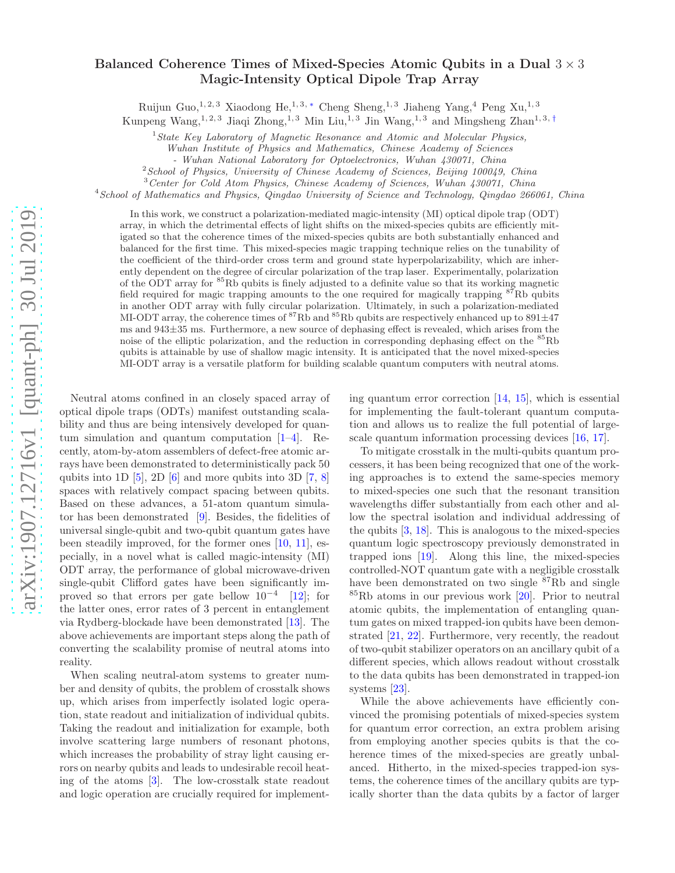## arXiv:1907.12716v1 [quant-ph] 30 Jul 2019 [arXiv:1907.12716v1 \[quant-ph\] 30 Jul 2019](http://arxiv.org/abs/1907.12716v1)

## Balanced Coherence Times of Mixed-Species Atomic Qubits in a Dual  $3 \times 3$ Magic-Intensity Optical Dipole Trap Array

Ruijun $\mathrm{Guo,}^{1,\,2,\,3}$ Xiaodong He, $^{1,\,3,\,*}$ Cheng $\mathrm{Sheng,}^{1,\,3}$ Jiaheng Yang, $^{4}$ Peng $\mathrm{Xu,}^{1,\,3}$ 

Kunpeng Wang,<sup>1, 2, 3</sup> Jiaqi Zhong,<sup>1, 3</sup> Min Liu,<sup>1, 3</sup> Jin Wang,<sup>1, 3</sup> and Mingsheng Zhan<sup>1, 3, [†](#page-4-1)</sup>

 $1$ State Key Laboratory of Magnetic Resonance and Atomic and Molecular Physics,

Wuhan Institute of Physics and Mathematics, Chinese Academy of Sciences

- Wuhan National Laboratory for Optoelectronics, Wuhan 430071, China

 $2$ School of Physics, University of Chinese Academy of Sciences, Beijing 100049, China

<sup>3</sup> Center for Cold Atom Physics, Chinese Academy of Sciences, Wuhan 430071, China

<sup>4</sup>School of Mathematics and Physics, Qingdao University of Science and Technology, Qingdao 266061, China

In this work, we construct a polarization-mediated magic-intensity (MI) optical dipole trap (ODT) array, in which the detrimental effects of light shifts on the mixed-species qubits are efficiently mitigated so that the coherence times of the mixed-species qubits are both substantially enhanced and balanced for the first time. This mixed-species magic trapping technique relies on the tunability of the coefficient of the third-order cross term and ground state hyperpolarizability, which are inherently dependent on the degree of circular polarization of the trap laser. Experimentally, polarization of the ODT array for  ${}^{85}$ Rb qubits is finely adjusted to a definite value so that its working magnetic field required for magic trapping amounts to the one required for magically trapping  ${}^{87}$ Rb qubits in another ODT array with fully circular polarization. Ultimately, in such a polarization-mediated MI-ODT array, the coherence times of <sup>87</sup>Rb and <sup>85</sup>Rb qubits are respectively enhanced up to 891 $\pm$ 47 ms and 943±35 ms. Furthermore, a new source of dephasing effect is revealed, which arises from the noise of the elliptic polarization, and the reduction in corresponding dephasing effect on the  ${}^{85}$ Rb qubits is attainable by use of shallow magic intensity. It is anticipated that the novel mixed-species MI-ODT array is a versatile platform for building scalable quantum computers with neutral atoms.

Neutral atoms confined in an closely spaced array of optical dipole traps (ODTs) manifest outstanding scalability and thus are being intensively developed for quantum simulation and quantum computation [\[1](#page-4-2)[–4](#page-4-3)]. Recently, atom-by-atom assemblers of defect-free atomic arrays have been demonstrated to deterministically pack 50 qubits into 1D  $[5]$ , 2D  $[6]$  and more qubits into 3D  $[7, 8]$  $[7, 8]$  $[7, 8]$ spaces with relatively compact spacing between qubits. Based on these advances, a 51-atom quantum simulator has been demonstrated [\[9\]](#page-4-8). Besides, the fidelities of universal single-qubit and two-qubit quantum gates have been steadily improved, for the former ones [\[10,](#page-4-9) [11](#page-4-10)], especially, in a novel what is called magic-intensity (MI) ODT array, the performance of global microwave-driven single-qubit Clifford gates have been significantly improved so that errors per gate bellow  $10^{-4}$  [\[12\]](#page-4-11); for the latter ones, error rates of 3 percent in entanglement via Rydberg-blockade have been demonstrated [\[13](#page-4-12)]. The above achievements are important steps along the path of converting the scalability promise of neutral atoms into reality.

When scaling neutral-atom systems to greater number and density of qubits, the problem of crosstalk shows up, which arises from imperfectly isolated logic operation, state readout and initialization of individual qubits. Taking the readout and initialization for example, both involve scattering large numbers of resonant photons, which increases the probability of stray light causing errors on nearby qubits and leads to undesirable recoil heating of the atoms [\[3](#page-4-13)]. The low-crosstalk state readout and logic operation are crucially required for implementing quantum error correction [\[14,](#page-4-14) [15](#page-4-15)], which is essential for implementing the fault-tolerant quantum computation and allows us to realize the full potential of largescale quantum information processing devices [\[16,](#page-4-16) [17\]](#page-4-17).

To mitigate crosstalk in the multi-qubits quantum processers, it has been being recognized that one of the working approaches is to extend the same-species memory to mixed-species one such that the resonant transition wavelengths differ substantially from each other and allow the spectral isolation and individual addressing of the qubits [\[3](#page-4-13), [18\]](#page-4-18). This is analogous to the mixed-species quantum logic spectroscopy previously demonstrated in trapped ions [\[19\]](#page-4-19). Along this line, the mixed-species controlled-NOT quantum gate with a negligible crosstalk have been demonstrated on two single <sup>87</sup>Rb and single  ${}^{85}Rb$  atoms in our previous work [\[20\]](#page-4-20). Prior to neutral atomic qubits, the implementation of entangling quantum gates on mixed trapped-ion qubits have been demonstrated [\[21,](#page-4-21) [22\]](#page-4-22). Furthermore, very recently, the readout of two-qubit stabilizer operators on an ancillary qubit of a different species, which allows readout without crosstalk to the data qubits has been demonstrated in trapped-ion systems [\[23\]](#page-4-23).

While the above achievements have efficiently convinced the promising potentials of mixed-species system for quantum error correction, an extra problem arising from employing another species qubits is that the coherence times of the mixed-species are greatly unbalanced. Hitherto, in the mixed-species trapped-ion systems, the coherence times of the ancillary qubits are typically shorter than the data qubits by a factor of larger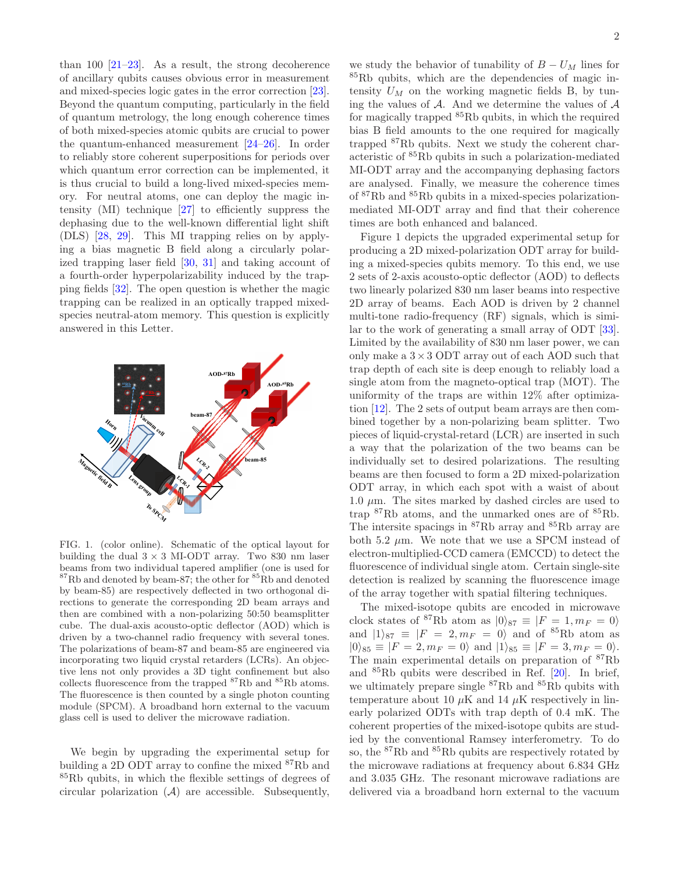than 100  $[21-23]$ . As a result, the strong decoherence of ancillary qubits causes obvious error in measurement and mixed-species logic gates in the error correction [\[23\]](#page-4-23). Beyond the quantum computing, particularly in the field of quantum metrology, the long enough coherence times of both mixed-species atomic qubits are crucial to power the quantum-enhanced measurement [\[24](#page-4-24)[–26](#page-5-0)]. In order to reliably store coherent superpositions for periods over which quantum error correction can be implemented, it is thus crucial to build a long-lived mixed-species memory. For neutral atoms, one can deploy the magic intensity (MI) technique [\[27](#page-5-1)] to efficiently suppress the dephasing due to the well-known differential light shift (DLS) [\[28,](#page-5-2) [29](#page-5-3)]. This MI trapping relies on by applying a bias magnetic B field along a circularly polarized trapping laser field [\[30,](#page-5-4) [31\]](#page-5-5) and taking account of a fourth-order hyperpolarizability induced by the trapping fields [\[32](#page-5-6)]. The open question is whether the magic trapping can be realized in an optically trapped mixedspecies neutral-atom memory. This question is explicitly answered in this Letter.



FIG. 1. (color online). Schematic of the optical layout for building the dual  $3 \times 3$  MI-ODT array. Two 830 nm laser beams from two individual tapered amplifier (one is used for  ${}^{87}Rb$  and denoted by beam-87; the other for  ${}^{85}Rb$  and denoted by beam-85) are respectively deflected in two orthogonal directions to generate the corresponding 2D beam arrays and then are combined with a non-polarizing 50:50 beamsplitter cube. The dual-axis acousto-optic deflector (AOD) which is driven by a two-channel radio frequency with several tones. The polarizations of beam-87 and beam-85 are engineered via incorporating two liquid crystal retarders (LCRs). An objective lens not only provides a 3D tight confinement but also collects fluorescence from the trapped <sup>87</sup>Rb and <sup>85</sup>Rb atoms. The fluorescence is then counted by a single photon counting module (SPCM). A broadband horn external to the vacuum glass cell is used to deliver the microwave radiation.

We begin by upgrading the experimental setup for building a 2D ODT array to confine the mixed <sup>87</sup>Rb and <sup>85</sup>Rb qubits, in which the flexible settings of degrees of circular polarization  $(A)$  are accessible. Subsequently,

we study the behavior of tunability of  $B - U_M$  lines for <sup>85</sup>Rb qubits, which are the dependencies of magic intensity  $U_M$  on the working magnetic fields B, by tuning the values of  $A$ . And we determine the values of  $A$ for magically trapped <sup>85</sup>Rb qubits, in which the required bias B field amounts to the one required for magically trapped <sup>87</sup>Rb qubits. Next we study the coherent characteristic of <sup>85</sup>Rb qubits in such a polarization-mediated MI-ODT array and the accompanying dephasing factors are analysed. Finally, we measure the coherence times of <sup>87</sup>Rb and <sup>85</sup>Rb qubits in a mixed-species polarizationmediated MI-ODT array and find that their coherence times are both enhanced and balanced.

Figure 1 depicts the upgraded experimental setup for producing a 2D mixed-polarization ODT array for building a mixed-species qubits memory. To this end, we use 2 sets of 2-axis acousto-optic deflector (AOD) to deflects two linearly polarized 830 nm laser beams into respective 2D array of beams. Each AOD is driven by 2 channel multi-tone radio-frequency (RF) signals, which is similar to the work of generating a small array of ODT [\[33\]](#page-5-7). Limited by the availability of 830 nm laser power, we can only make a  $3 \times 3$  ODT array out of each AOD such that trap depth of each site is deep enough to reliably load a single atom from the magneto-optical trap (MOT). The uniformity of the traps are within 12% after optimization [\[12\]](#page-4-11). The 2 sets of output beam arrays are then combined together by a non-polarizing beam splitter. Two pieces of liquid-crystal-retard (LCR) are inserted in such a way that the polarization of the two beams can be individually set to desired polarizations. The resulting beams are then focused to form a 2D mixed-polarization ODT array, in which each spot with a waist of about 1.0  $\mu$ m. The sites marked by dashed circles are used to trap  ${}^{87}$ Rb atoms, and the unmarked ones are of  ${}^{85}$ Rb. The intersite spacings in <sup>87</sup>Rb array and <sup>85</sup>Rb array are both 5.2  $\mu$ m. We note that we use a SPCM instead of electron-multiplied-CCD camera (EMCCD) to detect the fluorescence of individual single atom. Certain single-site detection is realized by scanning the fluorescence image of the array together with spatial filtering techniques.

The mixed-isotope qubits are encoded in microwave clock states of <sup>87</sup>Rb atom as  $|0\rangle_{87} \equiv |F = 1, m_F = 0\rangle$ and  $|1\rangle_{87} \equiv |F = 2, m_F = 0\rangle$  and of <sup>85</sup>Rb atom as  $|0\rangle_{85} \equiv |F = 2, m_F = 0\rangle$  and  $|1\rangle_{85} \equiv |F = 3, m_F = 0\rangle$ . The main experimental details on preparation of <sup>87</sup>Rb and <sup>85</sup>Rb qubits were described in Ref. [\[20](#page-4-20)]. In brief, we ultimately prepare single <sup>87</sup>Rb and <sup>85</sup>Rb qubits with temperature about 10  $\mu$ K and 14  $\mu$ K respectively in linearly polarized ODTs with trap depth of 0.4 mK. The coherent properties of the mixed-isotope qubits are studied by the conventional Ramsey interferometry. To do so, the <sup>87</sup>Rb and <sup>85</sup>Rb qubits are respectively rotated by the microwave radiations at frequency about 6.834 GHz and 3.035 GHz. The resonant microwave radiations are delivered via a broadband horn external to the vacuum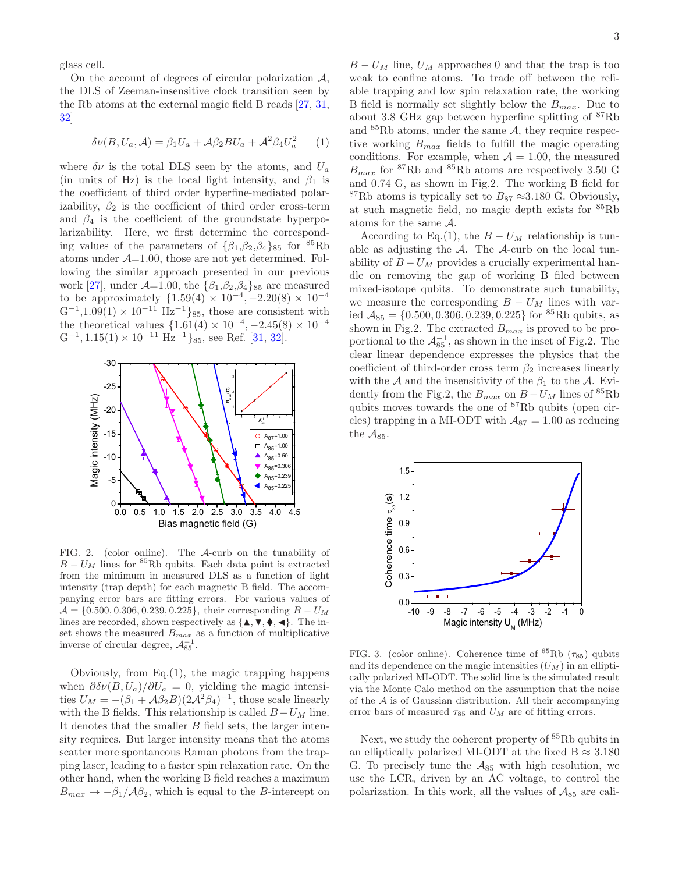glass cell.

On the account of degrees of circular polarization  $\mathcal{A}$ , the DLS of Zeeman-insensitive clock transition seen by the Rb atoms at the external magic field B reads [\[27,](#page-5-1) [31](#page-5-5), [32\]](#page-5-6)

$$
\delta\nu(B, U_a, \mathcal{A}) = \beta_1 U_a + \mathcal{A}\beta_2 BU_a + \mathcal{A}^2 \beta_4 U_a^2 \qquad (1)
$$

where  $\delta \nu$  is the total DLS seen by the atoms, and  $U_a$ (in units of Hz) is the local light intensity, and  $\beta_1$  is the coefficient of third order hyperfine-mediated polarizability,  $\beta_2$  is the coefficient of third order cross-term and  $\beta_4$  is the coefficient of the groundstate hyperpolarizability. Here, we first determine the corresponding values of the parameters of  $\{\beta_1,\beta_2,\beta_4\}_{85}$  for  ${}^{85}\text{Rb}$ atoms under  $A=1.00$ , those are not yet determined. Following the similar approach presented in our previous work [\[27\]](#page-5-1), under  $\mathcal{A}=1.00$ , the  $\{\beta_1,\beta_2,\beta_4\}_{85}$  are measured to be approximately  $\{1.59(4) \times 10^{-4}, -2.20(8) \times 10^{-4} \}$  $G^{-1}$ ,1.09(1) × 10<sup>-11</sup> Hz<sup>-1</sup>}<sub>85</sub>, those are consistent with the theoretical values  $\{1.61(4) \times 10^{-4}, -2.45(8) \times 10^{-4}$  $G^{-1}$ , 1.15(1) × 10<sup>-11</sup> Hz<sup>-1</sup>}<sub>85</sub>, see Ref. [\[31](#page-5-5), [32](#page-5-6)].



FIG. 2. (color online). The A-curb on the tunability of  $B - U_M$  lines for <sup>85</sup>Rb qubits. Each data point is extracted from the minimum in measured DLS as a function of light intensity (trap depth) for each magnetic B field. The accompanying error bars are fitting errors. For various values of  $A = \{0.500, 0.306, 0.239, 0.225\}$ , their corresponding  $B - U_M$ lines are recorded, shown respectively as  $\{\blacktriangle, \blacktriangledown, \blacklozenge, \blacktriangleleft\}$ . The inset shows the measured  $B_{max}$  as a function of multiplicative inverse of circular degree,  $\mathcal{A}_{85}^{-1}$ .

Obviously, from Eq.(1), the magic trapping happens when  $\partial \delta \nu(B, U_a)/\partial U_a = 0$ , yielding the magic intensities  $U_M = -(\beta_1 + A\beta_2 B)(2A^2\beta_4)^{-1}$ , those scale linearly with the B fields. This relationship is called  $B - U_M$  line. It denotes that the smaller  $B$  field sets, the larger intensity requires. But larger intensity means that the atoms scatter more spontaneous Raman photons from the trapping laser, leading to a faster spin relaxation rate. On the other hand, when the working B field reaches a maximum  $B_{max} \rightarrow -\beta_1/\mathcal{A}\beta_2$ , which is equal to the B-intercept on

 $B - U_M$  line,  $U_M$  approaches 0 and that the trap is too weak to confine atoms. To trade off between the reliable trapping and low spin relaxation rate, the working B field is normally set slightly below the  $B_{max}$ . Due to about 3.8 GHz gap between hyperfine splitting of <sup>87</sup>Rb and  ${}^{85}$ Rb atoms, under the same A, they require respective working  $B_{max}$  fields to fulfill the magic operating conditions. For example, when  $A = 1.00$ , the measured  $B_{max}$  for <sup>87</sup>Rb and <sup>85</sup>Rb atoms are respectively 3.50 G and 0.74 G, as shown in Fig.2. The working B field for <sup>87</sup>Rb atoms is typically set to  $B_{87} \approx 3.180$  G. Obviously, at such magnetic field, no magic depth exists for <sup>85</sup>Rb atoms for the same A.

According to Eq.(1), the  $B - U_M$  relationship is tunable as adjusting the  $A$ . The  $A$ -curb on the local tunability of  $B - U_M$  provides a crucially experimental handle on removing the gap of working B filed between mixed-isotope qubits. To demonstrate such tunability, we measure the corresponding  $B - U_M$  lines with varied  $A_{85} = \{0.500, 0.306, 0.239, 0.225\}$  for <sup>85</sup>Rb qubits, as shown in Fig.2. The extracted  $B_{max}$  is proved to be proportional to the  $\mathcal{A}_{85}^{-1}$ , as shown in the inset of Fig.2. The clear linear dependence expresses the physics that the coefficient of third-order cross term  $\beta_2$  increases linearly with the A and the insensitivity of the  $\beta_1$  to the A. Evidently from the Fig.2, the  $B_{max}$  on  $B - U_M$  lines of <sup>85</sup>Rb qubits moves towards the one of <sup>87</sup>Rb qubits (open circles) trapping in a MI-ODT with  $A_{87} = 1.00$  as reducing the  $A_{85}$ .



FIG. 3. (color online). Coherence time of  ${}^{85}Rb$  ( $\tau_{85}$ ) qubits and its dependence on the magic intensities  $(U_M)$  in an elliptically polarized MI-ODT. The solid line is the simulated result via the Monte Calo method on the assumption that the noise of the  $A$  is of Gaussian distribution. All their accompanying error bars of measured  $\tau_{85}$  and  $U_M$  are of fitting errors.

Next, we study the coherent property of <sup>85</sup>Rb qubits in an elliptically polarized MI-ODT at the fixed B  $\approx 3.180$ G. To precisely tune the  $A_{85}$  with high resolution, we use the LCR, driven by an AC voltage, to control the polarization. In this work, all the values of  $A_{85}$  are cali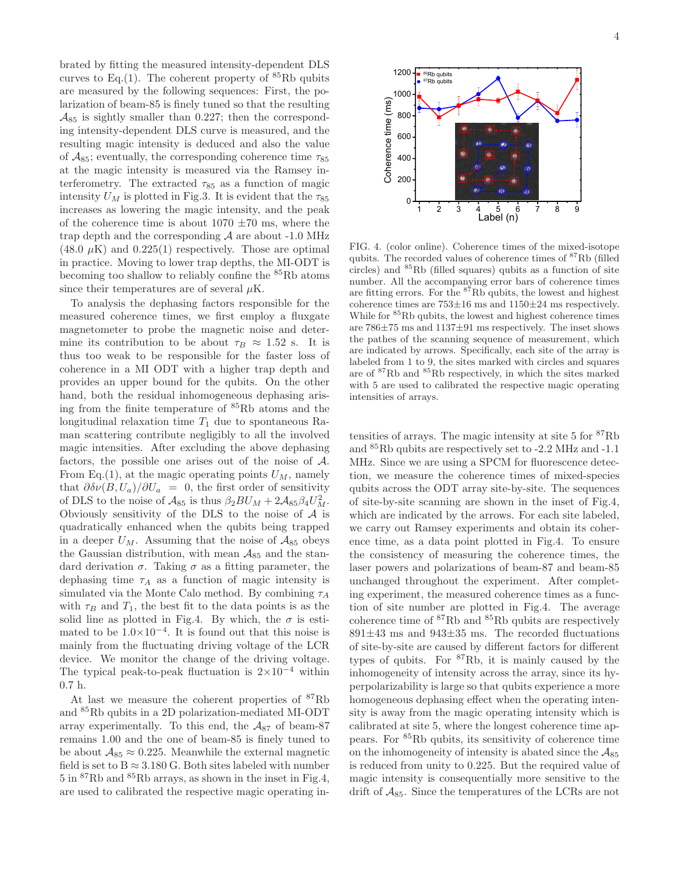brated by fitting the measured intensity-dependent DLS curves to Eq.(1). The coherent property of  ${}^{85}Rb$  qubits are measured by the following sequences: First, the polarization of beam-85 is finely tuned so that the resulting  $A_{85}$  is sightly smaller than 0.227; then the corresponding intensity-dependent DLS curve is measured, and the resulting magic intensity is deduced and also the value of  $A_{85}$ ; eventually, the corresponding coherence time  $\tau_{85}$ at the magic intensity is measured via the Ramsey interferometry. The extracted  $\tau_{85}$  as a function of magic intensity  $U_M$  is plotted in Fig.3. It is evident that the  $\tau_{85}$ increases as lowering the magic intensity, and the peak of the coherence time is about  $1070 \pm 70$  ms, where the trap depth and the corresponding  $A$  are about -1.0 MHz  $(48.0 \mu K)$  and  $(0.225(1))$  respectively. Those are optimal in practice. Moving to lower trap depths, the MI-ODT is becoming too shallow to reliably confine the <sup>85</sup>Rb atoms since their temperatures are of several  $\mu$ K.

To analysis the dephasing factors responsible for the measured coherence times, we first employ a fluxgate magnetometer to probe the magnetic noise and determine its contribution to be about  $\tau_B \approx 1.52$  s. It is thus too weak to be responsible for the faster loss of coherence in a MI ODT with a higher trap depth and provides an upper bound for the qubits. On the other hand, both the residual inhomogeneous dephasing arising from the finite temperature of <sup>85</sup>Rb atoms and the longitudinal relaxation time  $T_1$  due to spontaneous Raman scattering contribute negligibly to all the involved magic intensities. After excluding the above dephasing factors, the possible one arises out of the noise of A. From Eq.(1), at the magic operating points  $U_M$ , namely that  $\partial \delta \nu(B, U_a)/\partial U_a = 0$ , the first order of sensitivity of DLS to the noise of  $\mathcal{A}_{85}$  is thus  $\beta_2 BU_M + 2\mathcal{A}_{85}\beta_4 U_M^2$ . Obviously sensitivity of the DLS to the noise of  $A$  is quadratically enhanced when the qubits being trapped in a deeper  $U_M$ . Assuming that the noise of  $A_{85}$  obeys the Gaussian distribution, with mean  $A_{85}$  and the standard derivation  $\sigma$ . Taking  $\sigma$  as a fitting parameter, the dephasing time  $\tau_A$  as a function of magic intensity is simulated via the Monte Calo method. By combining  $\tau_A$ with  $\tau_B$  and  $T_1$ , the best fit to the data points is as the solid line as plotted in Fig.4. By which, the  $\sigma$  is estimated to be  $1.0 \times 10^{-4}$ . It is found out that this noise is mainly from the fluctuating driving voltage of the LCR device. We monitor the change of the driving voltage. The typical peak-to-peak fluctuation is  $2\times10^{-4}$  within 0.7 h.

At last we measure the coherent properties of <sup>87</sup>Rb and <sup>85</sup>Rb qubits in a 2D polarization-mediated MI-ODT array experimentally. To this end, the  $A_{87}$  of beam-87 remains 1.00 and the one of beam-85 is finely tuned to be about  $A_{85} \approx 0.225$ . Meanwhile the external magnetic field is set to  $B \approx 3.180$  G. Both sites labeled with number 5 in <sup>87</sup>Rb and <sup>85</sup>Rb arrays, as shown in the inset in Fig.4, are used to calibrated the respective magic operating in-



FIG. 4. (color online). Coherence times of the mixed-isotope qubits. The recorded values of coherence times of <sup>87</sup>Rb (filled circles) and  ${}^{85}$ Rb (filled squares) qubits as a function of site number. All the accompanying error bars of coherence times are fitting errors. For the  $8^{7}Rb$  qubits, the lowest and highest coherence times are 753±16 ms and 1150±24 ms respectively. While for  ${}^{85}$ Rb qubits, the lowest and highest coherence times are 786±75 ms and 1137±91 ms respectively. The inset shows the pathes of the scanning sequence of measurement, which are indicated by arrows. Specifically, each site of the array is labeled from 1 to 9, the sites marked with circles and squares are of <sup>87</sup>Rb and <sup>85</sup>Rb respectively, in which the sites marked with 5 are used to calibrated the respective magic operating intensities of arrays.

tensities of arrays. The magic intensity at site  $5$  for  ${}^{87}Rb$ and <sup>85</sup>Rb qubits are respectively set to -2.2 MHz and -1.1 MHz. Since we are using a SPCM for fluorescence detection, we measure the coherence times of mixed-species qubits across the ODT array site-by-site. The sequences of site-by-site scanning are shown in the inset of Fig.4, which are indicated by the arrows. For each site labeled, we carry out Ramsey experiments and obtain its coherence time, as a data point plotted in Fig.4. To ensure the consistency of measuring the coherence times, the laser powers and polarizations of beam-87 and beam-85 unchanged throughout the experiment. After completing experiment, the measured coherence times as a function of site number are plotted in Fig.4. The average coherence time of <sup>87</sup>Rb and <sup>85</sup>Rb qubits are respectively  $891\pm43$  ms and  $943\pm35$  ms. The recorded fluctuations of site-by-site are caused by different factors for different types of qubits. For  ${}^{87}Rb$ , it is mainly caused by the inhomogeneity of intensity across the array, since its hyperpolarizability is large so that qubits experience a more homogeneous dephasing effect when the operating intensity is away from the magic operating intensity which is calibrated at site 5, where the longest coherence time appears. For <sup>85</sup>Rb qubits, its sensitivity of coherence time on the inhomogeneity of intensity is abated since the  $A_{85}$ is reduced from unity to 0.225. But the required value of magic intensity is consequentially more sensitive to the drift of  $A_{85}$ . Since the temperatures of the LCRs are not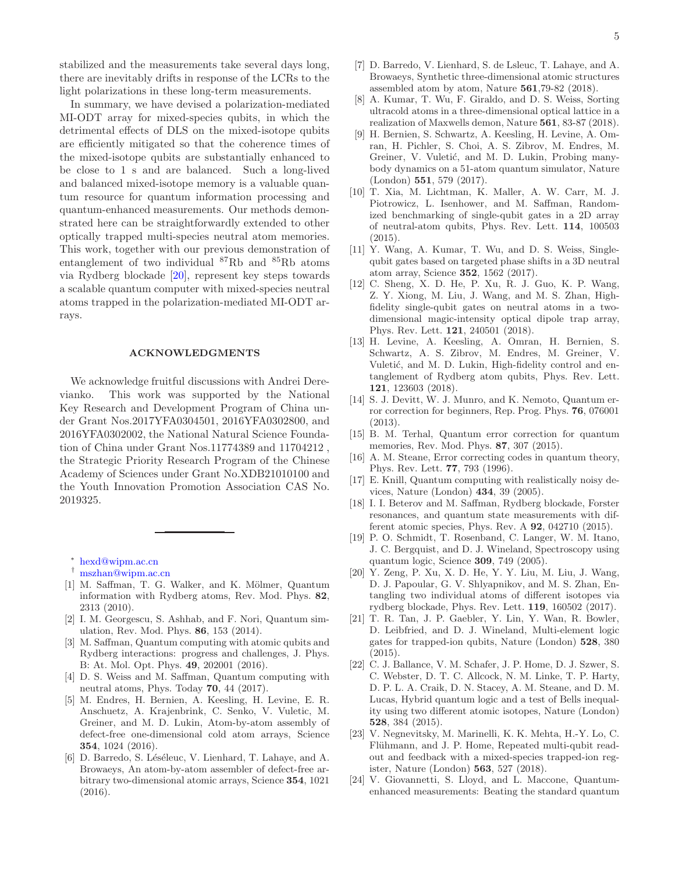stabilized and the measurements take several days long, there are inevitably drifts in response of the LCRs to the light polarizations in these long-term measurements.

In summary, we have devised a polarization-mediated MI-ODT array for mixed-species qubits, in which the detrimental effects of DLS on the mixed-isotope qubits are efficiently mitigated so that the coherence times of the mixed-isotope qubits are substantially enhanced to be close to 1 s and are balanced. Such a long-lived and balanced mixed-isotope memory is a valuable quantum resource for quantum information processing and quantum-enhanced measurements. Our methods demonstrated here can be straightforwardly extended to other optically trapped multi-species neutral atom memories. This work, together with our previous demonstration of entanglement of two individual <sup>87</sup>Rb and <sup>85</sup>Rb atoms via Rydberg blockade [\[20\]](#page-4-20), represent key steps towards a scalable quantum computer with mixed-species neutral atoms trapped in the polarization-mediated MI-ODT arrays.

## ACKNOWLEDGMENTS

We acknowledge fruitful discussions with Andrei Derevianko. This work was supported by the National Key Research and Development Program of China under Grant Nos.2017YFA0304501, 2016YFA0302800, and 2016YFA0302002, the National Natural Science Foundation of China under Grant Nos.11774389 and 11704212 , the Strategic Priority Research Program of the Chinese Academy of Sciences under Grant No.XDB21010100 and the Youth Innovation Promotion Association CAS No. 2019325.

- ∗ [hexd@wipm.ac.cn](mailto:hexd@wipm.ac.cn)
- <span id="page-4-0"></span>† [mszhan@wipm.ac.cn](mailto:mszhan@wipm.ac.cn)
- <span id="page-4-2"></span><span id="page-4-1"></span>[1] M. Saffman, T. G. Walker, and K. Mölmer, Quantum information with Rydberg atoms, Rev. Mod. Phys. 82, 2313 (2010).
- [2] I. M. Georgescu, S. Ashhab, and F. Nori, Quantum simulation, Rev. Mod. Phys. 86, 153 (2014).
- <span id="page-4-13"></span>[3] M. Saffman, Quantum computing with atomic qubits and Rydberg interactions: progress and challenges, J. Phys. B: At. Mol. Opt. Phys. 49, 202001 (2016).
- <span id="page-4-3"></span>[4] D. S. Weiss and M. Saffman, Quantum computing with neutral atoms, Phys. Today 70, 44 (2017).
- <span id="page-4-4"></span>[5] M. Endres, H. Bernien, A. Keesling, H. Levine, E. R. Anschuetz, A. Krajenbrink, C. Senko, V. Vuletic, M. Greiner, and M. D. Lukin, Atom-by-atom assembly of defect-free one-dimensional cold atom arrays, Science 354, 1024 (2016).
- <span id="page-4-5"></span>[6] D. Barredo, S. Léséleuc, V. Lienhard, T. Lahaye, and A. Browaeys, An atom-by-atom assembler of defect-free arbitrary two-dimensional atomic arrays, Science 354, 1021 (2016).
- <span id="page-4-6"></span>[7] D. Barredo, V. Lienhard, S. de Lsleuc, T. Lahaye, and A. Browaeys, Synthetic three-dimensional atomic structures assembled atom by atom, Nature 561,79-82 (2018).
- <span id="page-4-7"></span>[8] A. Kumar, T. Wu, F. Giraldo, and D. S. Weiss, Sorting ultracold atoms in a three-dimensional optical lattice in a realization of Maxwells demon, Nature 561, 83-87 (2018).
- <span id="page-4-8"></span>[9] H. Bernien, S. Schwartz, A. Keesling, H. Levine, A. Omran, H. Pichler, S. Choi, A. S. Zibrov, M. Endres, M. Greiner, V. Vuletić, and M. D. Lukin, Probing manybody dynamics on a 51-atom quantum simulator, Nature (London) 551, 579 (2017).
- <span id="page-4-9"></span>[10] T. Xia, M. Lichtman, K. Maller, A. W. Carr, M. J. Piotrowicz, L. Isenhower, and M. Saffman, Randomized benchmarking of single-qubit gates in a 2D array of neutral-atom qubits, Phys. Rev. Lett. 114, 100503 (2015).
- <span id="page-4-10"></span>[11] Y. Wang, A. Kumar, T. Wu, and D. S. Weiss, Singlequbit gates based on targeted phase shifts in a 3D neutral atom array, Science 352, 1562 (2017).
- <span id="page-4-11"></span>[12] C. Sheng, X. D. He, P. Xu, R. J. Guo, K. P. Wang, Z. Y. Xiong, M. Liu, J. Wang, and M. S. Zhan, Highfidelity single-qubit gates on neutral atoms in a twodimensional magic-intensity optical dipole trap array, Phys. Rev. Lett. 121, 240501 (2018).
- <span id="page-4-12"></span>[13] H. Levine, A. Keesling, A. Omran, H. Bernien, S. Schwartz, A. S. Zibrov, M. Endres, M. Greiner, V. Vuletić, and M. D. Lukin, High-fidelity control and entanglement of Rydberg atom qubits, Phys. Rev. Lett. 121, 123603 (2018).
- <span id="page-4-14"></span>[14] S. J. Devitt, W. J. Munro, and K. Nemoto, Quantum error correction for beginners, Rep. Prog. Phys. 76, 076001 (2013).
- <span id="page-4-15"></span>[15] B. M. Terhal, Quantum error correction for quantum memories, Rev. Mod. Phys. 87, 307 (2015).
- <span id="page-4-16"></span>[16] A. M. Steane, Error correcting codes in quantum theory, Phys. Rev. Lett. 77, 793 (1996).
- <span id="page-4-17"></span>[17] E. Knill, Quantum computing with realistically noisy devices, Nature (London) 434, 39 (2005).
- <span id="page-4-18"></span>[18] I. I. Beterov and M. Saffman, Rydberg blockade, Forster resonances, and quantum state measurements with different atomic species, Phys. Rev. A 92, 042710 (2015).
- <span id="page-4-19"></span>[19] P. O. Schmidt, T. Rosenband, C. Langer, W. M. Itano, J. C. Bergquist, and D. J. Wineland, Spectroscopy using quantum logic, Science 309, 749 (2005).
- <span id="page-4-20"></span>[20] Y. Zeng, P. Xu, X. D. He, Y. Y. Liu, M. Liu, J. Wang, D. J. Papoular, G. V. Shlyapnikov, and M. S. Zhan, Entangling two individual atoms of different isotopes via rydberg blockade, Phys. Rev. Lett. 119, 160502 (2017).
- <span id="page-4-21"></span>[21] T. R. Tan, J. P. Gaebler, Y. Lin, Y. Wan, R. Bowler, D. Leibfried, and D. J. Wineland, Multi-element logic gates for trapped-ion qubits, Nature (London) 528, 380 (2015).
- <span id="page-4-22"></span>[22] C. J. Ballance, V. M. Schafer, J. P. Home, D. J. Szwer, S. C. Webster, D. T. C. Allcock, N. M. Linke, T. P. Harty, D. P. L. A. Craik, D. N. Stacey, A. M. Steane, and D. M. Lucas, Hybrid quantum logic and a test of Bells inequality using two different atomic isotopes, Nature (London) 528, 384 (2015).
- <span id="page-4-23"></span>[23] V. Negnevitsky, M. Marinelli, K. K. Mehta, H.-Y. Lo, C. Flühmann, and J. P. Home, Repeated multi-qubit readout and feedback with a mixed-species trapped-ion register, Nature (London) 563, 527 (2018).
- <span id="page-4-24"></span>[24] V. Giovannetti, S. Lloyd, and L. Maccone, Quantumenhanced measurements: Beating the standard quantum